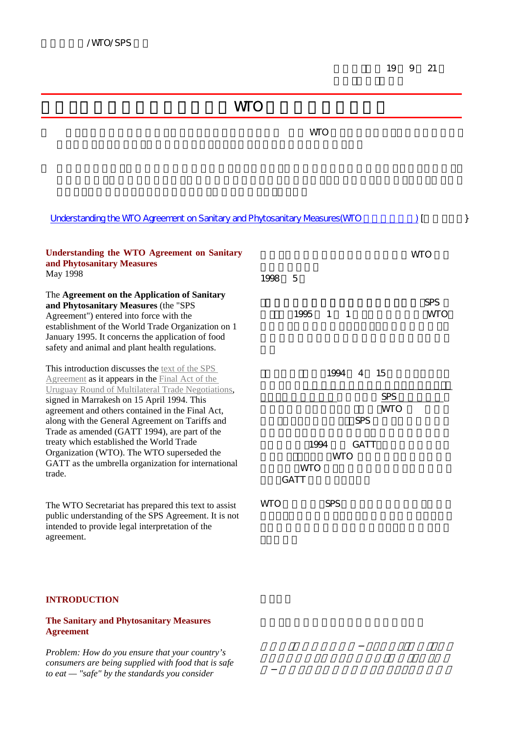| <b>WLO</b>                                                                                                                                                                                                                                                                                                                                                                                                                                                                                                               |                                                                                                                             |                          |
|--------------------------------------------------------------------------------------------------------------------------------------------------------------------------------------------------------------------------------------------------------------------------------------------------------------------------------------------------------------------------------------------------------------------------------------------------------------------------------------------------------------------------|-----------------------------------------------------------------------------------------------------------------------------|--------------------------|
|                                                                                                                                                                                                                                                                                                                                                                                                                                                                                                                          | <b>WIO</b>                                                                                                                  |                          |
| Understanding the WTO Agreement on Sanitary and Phytosanitary Measures (WTO                                                                                                                                                                                                                                                                                                                                                                                                                                              |                                                                                                                             | <u>)</u> [               |
| <b>Understanding the WTO Agreement on Sanitary</b><br>and Phytosanitary Measures<br>May 1998                                                                                                                                                                                                                                                                                                                                                                                                                             | 5<br>1998                                                                                                                   | <b>WTO</b>               |
| The Agreement on the Application of Sanitary<br>and Phytosanitary Measures (the "SPS<br>Agreement") entered into force with the<br>establishment of the World Trade Organization on 1<br>January 1995. It concerns the application of food<br>safety and animal and plant health regulations.                                                                                                                                                                                                                            | 1995<br>$\mathbf{1}$<br>$\overline{1}$                                                                                      | <b>SPS</b><br><b>WTO</b> |
| This introduction discusses the text of the SPS<br>Agreement as it appears in the Final Act of the<br>Uruguay Round of Multilateral Trade Negotiations,<br>signed in Marrakesh on 15 April 1994. This<br>agreement and others contained in the Final Act,<br>along with the General Agreement on Tariffs and<br>Trade as amended (GATT 1994), are part of the<br>treaty which established the World Trade<br>Organization (WTO). The WTO superseded the<br>GATT as the umbrella organization for international<br>trade. | 1994<br>15<br>4<br><b>SPS</b><br><b>WTO</b><br><b>SPS</b><br><b>GATT</b><br>1994<br><b>WTO</b><br><b>WTO</b><br><b>GATT</b> |                          |
| The WTO Secretariat has prepared this text to assist<br>public understanding of the SPS Agreement. It is not<br>intended to provide legal interpretation of the<br>agreement.                                                                                                                                                                                                                                                                                                                                            | <b>WTO</b><br><b>SPS</b>                                                                                                    |                          |

# **INTRODUCTION**

# **The Sanitary and Phytosanitary Measures Agreement**

*Problem: How do you ensure that your country's consumers are being supplied with food that is safe to eat — "safe" by the standards you consider*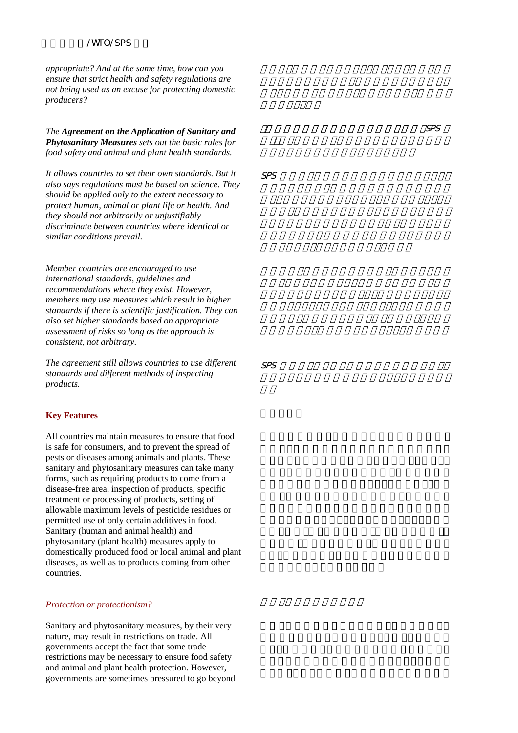*appropriate? And at the same time, how can you ensure that strict health and safety regulations are not being used as an excuse for protecting domestic producers?*

*The Agreement on the Application of Sanitary and Phytosanitary Measures sets out the basic rules for food safety and animal and plant health standards.*

*It allows countries to set their own standards. But it also says regulations must be based on science. They should be applied only to the extent necessary to protect human, animal or plant life or health. And they should not arbitrarily or unjustifiably discriminate between countries where identical or similar conditions prevail.*

*Member countries are encouraged to use international standards, guidelines and recommendations where they exist. However, members may use measures which result in higher standards if there is scientific justification. They can also set higher standards based on appropriate assessment of risks so long as the approach is consistent, not arbitrary.*

*The agreement still allows countries to use different standards and different methods of inspecting products.*

#### **Key Features**

All countries maintain measures to ensure that food is safe for consumers, and to prevent the spread of pests or diseases among animals and plants. These sanitary and phytosanitary measures can take many forms, such as requiring products to come from a disease-free area, inspection of products, specific treatment or processing of products, setting of allowable maximum levels of pesticide residues or permitted use of only certain additives in food. Sanitary (human and animal health) and phytosanitary (plant health) measures apply to domestically produced food or local animal and plant diseases, as well as to products coming from other countries.

#### *Protection or protectionism?*

Sanitary and phytosanitary measures, by their very nature, may result in restrictions on trade. All governments accept the fact that some trade restrictions may be necessary to ensure food safety and animal and plant health protection. However, governments are sometimes pressured to go beyond  $S\!P\!S$ 

 $S\!P\!S$ 

 $S\!P\!S$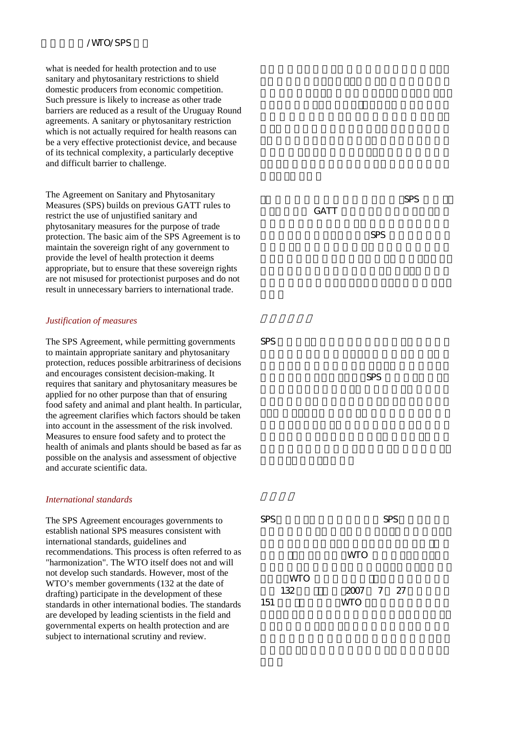what is needed for health protection and to use sanitary and phytosanitary restrictions to shield domestic producers from economic competition. Such pressure is likely to increase as other trade barriers are reduced as a result of the Uruguay Round agreements. A sanitary or phytosanitary restriction which is not actually required for health reasons can be a very effective protectionist device, and because of its technical complexity, a particularly deceptive and difficult barrier to challenge.

The Agreement on Sanitary and Phytosanitary Measures (SPS) builds on previous GATT rules to restrict the use of unjustified sanitary and phytosanitary measures for the purpose of trade protection. The basic aim of the SPS Agreement is to maintain the sovereign right of any government to provide the level of health protection it deems appropriate, but to ensure that these sovereign rights are not misused for protectionist purposes and do not result in unnecessary barriers to international trade.

#### *Justification of measures*

The SPS Agreement, while permitting governments to maintain appropriate sanitary and phytosanitary protection, reduces possible arbitrariness of decisions and encourages consistent decision-making. It requires that sanitary and phytosanitary measures be applied for no other purpose than that of ensuring food safety and animal and plant health. In particular, the agreement clarifies which factors should be taken into account in the assessment of the risk involved. Measures to ensure food safety and to protect the health of animals and plants should be based as far as possible on the analysis and assessment of objective and accurate scientific data.

#### *International standards*

The SPS Agreement encourages governments to establish national SPS measures consistent with international standards, guidelines and recommendations. This process is often referred to as "harmonization". The WTO itself does not and will not develop such standards. However, most of the WTO's member governments (132 at the date of drafting) participate in the development of these standards in other international bodies. The standards are developed by leading scientists in the field and governmental experts on health protection and are subject to international scrutiny and review.

SPS SPS SPS SPS  $\sim$ wto windows when the set of the set of the set of the set of the set of the set of the set of the set of the set of the set of the set of the set of the set of the set of the set of the set of the set of the set of the set しかし、WTO 加盟国の政府(この文書の作成時点 132 2007 7 27 151 WTO

 $SPS$ 

 $SPS$ 

**GATT** 

 $SPS$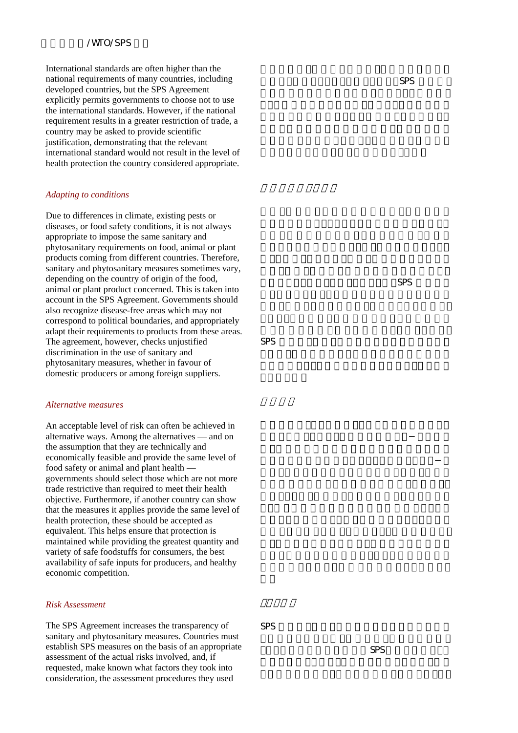International standards are often higher than the national requirements of many countries, including developed countries, but the SPS Agreement explicitly permits governments to choose not to use the international standards. However, if the national requirement results in a greater restriction of trade, a country may be asked to provide scientific justification, demonstrating that the relevant international standard would not result in the level of health protection the country considered appropriate.

#### *Adapting to conditions*

Due to differences in climate, existing pests or diseases, or food safety conditions, it is not always appropriate to impose the same sanitary and phytosanitary requirements on food, animal or plant products coming from different countries. Therefore, sanitary and phytosanitary measures sometimes vary, depending on the country of origin of the food, animal or plant product concerned. This is taken into account in the SPS Agreement. Governments should also recognize disease-free areas which may not correspond to political boundaries, and appropriately adapt their requirements to products from these areas. The agreement, however, checks unjustified discrimination in the use of sanitary and phytosanitary measures, whether in favour of domestic producers or among foreign suppliers.

#### *Alternative measures*

An acceptable level of risk can often be achieved in alternative ways. Among the alternatives — and on the assumption that they are technically and economically feasible and provide the same level of food safety or animal and plant health governments should select those which are not more trade restrictive than required to meet their health objective. Furthermore, if another country can show that the measures it applies provide the same level of health protection, these should be accepted as equivalent. This helps ensure that protection is maintained while providing the greatest quantity and variety of safe foodstuffs for consumers, the best availability of safe inputs for producers, and healthy economic competition.

### *Risk Assessment*

The SPS Agreement increases the transparency of sanitary and phytosanitary measures. Countries must establish SPS measures on the basis of an appropriate assessment of the actual risks involved, and, if requested, make known what factors they took into consideration, the assessment procedures they used

 $SPS$ 

 $SPS$ 

 $SPS$ 

#### $SPS$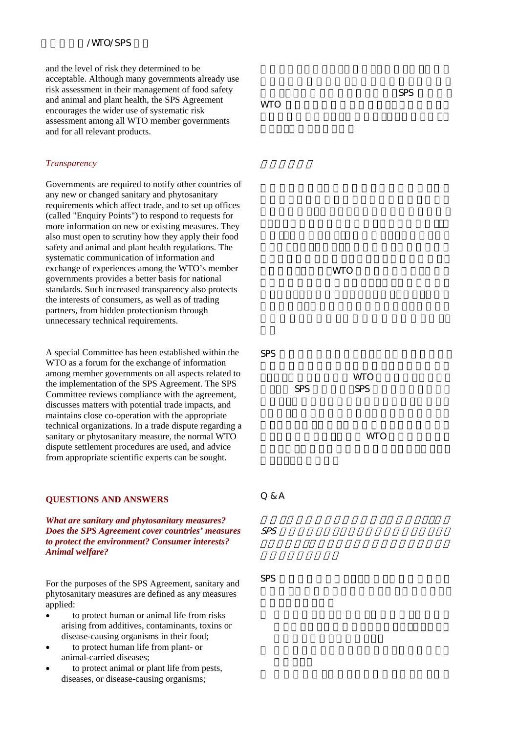and the level of risk they determined to be acceptable. Although many governments already use risk assessment in their management of food safety and animal and plant health, the SPS Agreement encourages the wider use of systematic risk assessment among all WTO member governments and for all relevant products.

*Transparency*

Governments are required to notify other countries of any new or changed sanitary and phytosanitary requirements which affect trade, and to set up offices (called "Enquiry Points") to respond to requests for more information on new or existing measures. They also must open to scrutiny how they apply their food safety and animal and plant health regulations. The systematic communication of information and exchange of experiences among the WTO's member governments provides a better basis for national standards. Such increased transparency also protects the interests of consumers, as well as of trading partners, from hidden protectionism through unnecessary technical requirements.

A special Committee has been established within the WTO as a forum for the exchange of information among member governments on all aspects related to the implementation of the SPS Agreement. The SPS Committee reviews compliance with the agreement, discusses matters with potential trade impacts, and maintains close co-operation with the appropriate technical organizations. In a trade dispute regarding a sanitary or phytosanitary measure, the normal WTO dispute settlement procedures are used, and advice from appropriate scientific experts can be sought.

#### **QUESTIONS AND ANSWERS**

*What are sanitary and phytosanitary measures? Does the SPS Agreement cover countries' measures to protect the environment? Consumer interests? Animal welfare?*

For the purposes of the SPS Agreement, sanitary and phytosanitary measures are defined as any measures applied:

- to protect human or animal life from risks arising from additives, contaminants, toxins or disease-causing organisms in their food;
- to protect human life from plant- or animal-carried diseases;
- to protect animal or plant life from pests, diseases, or disease-causing organisms;

WTO **CONTEXT** 

WTO

 $SPS$ 

|            | <b>WTO</b> |  |
|------------|------------|--|
| <b>SPS</b> | SPS        |  |

WTO

Q & A

 $S\!P\!S$ 

 $SPS$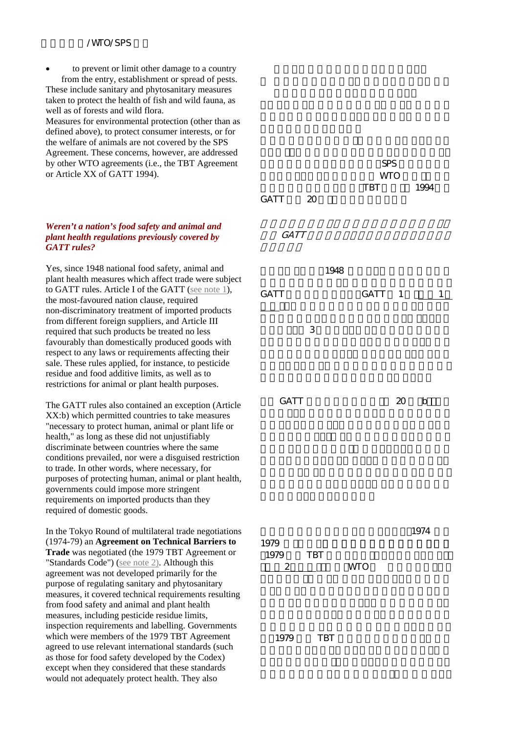• to prevent or limit other damage to a country from the entry, establishment or spread of pests. These include sanitary and phytosanitary measures taken to protect the health of fish and wild fauna, as well as of forests and wild flora. Measures for environmental protection (other than as defined above), to protect consumer interests, or for the welfare of animals are not covered by the SPS Agreement. These concerns, however, are addressed by other WTO agreements (i.e., the TBT Agreement or Article XX of GATT 1994).

#### *Weren't a nation's food safety and animal and plant health regulations previously covered by GATT rules?*

Yes, since 1948 national food safety, animal and plant health measures which affect trade were subject to GATT rules. Article I of the GATT [\(see note 1\)](https://www.wto.org/english/tratop_e/sps_e/spsund_e.htm#Fn 1), the most-favoured nation clause, required non-discriminatory treatment of imported products from different foreign suppliers, and Article III required that such products be treated no less favourably than domestically produced goods with respect to any laws or requirements affecting their sale. These rules applied, for instance, to pesticide residue and food additive limits, as well as to restrictions for animal or plant health purposes.

The GATT rules also contained an exception (Article XX:b) which permitted countries to take measures "necessary to protect human, animal or plant life or health," as long as these did not unjustifiably discriminate between countries where the same conditions prevailed, nor were a disguised restriction to trade. In other words, where necessary, for purposes of protecting human, animal or plant health, governments could impose more stringent requirements on imported products than they required of domestic goods.

In the Tokyo Round of multilateral trade negotiations (1974-79) an **Agreement on Technical Barriers to Trade** was negotiated (the 1979 TBT Agreement or "Standards Code") [\(see note 2\)](https://www.wto.org/english/tratop_e/sps_e/spsund_e.htm#Fn 2). Although this agreement was not developed primarily for the purpose of regulating sanitary and phytosanitary measures, it covered technical requirements resulting from food safety and animal and plant health measures, including pesticide residue limits, inspection requirements and labelling. Governments which were members of the 1979 TBT Agreement agreed to use relevant international standards (such as those for food safety developed by the Codex) except when they considered that these standards would not adequately protect health. They also

たは動物福祉のための措置は、SPS 協定では扱わ  $WTO$ TBT 1994  $GATT$  20 GATT そのとおりです。1948 年から、貿易に影響を及ぼ GATT GATT 1 1  $3$  $GATT$  20  $b$  $1974$ 1979 **1979** (1979 TBT 2 WTO 1979 TBT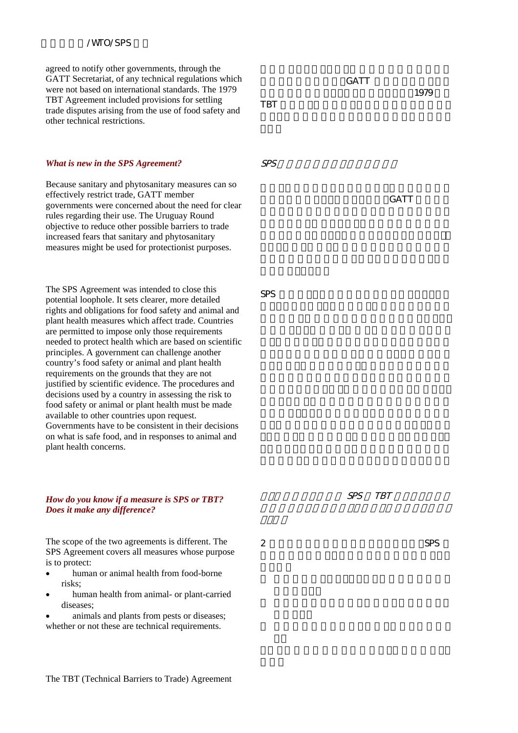agreed to notify other governments, through the GATT Secretariat, of any technical regulations which were not based on international standards. The 1979 TBT Agreement included provisions for settling trade disputes arising from the use of food safety and other technical restrictions.

#### *What is new in the SPS Agreement?*

Because sanitary and phytosanitary measures can so effectively restrict trade, GATT member governments were concerned about the need for clear rules regarding their use. The Uruguay Round objective to reduce other possible barriers to trade increased fears that sanitary and phytosanitary measures might be used for protectionist purposes.

The SPS Agreement was intended to close this potential loophole. It sets clearer, more detailed rights and obligations for food safety and animal and plant health measures which affect trade. Countries are permitted to impose only those requirements needed to protect health which are based on scientific principles. A government can challenge another country's food safety or animal and plant health requirements on the grounds that they are not justified by scientific evidence. The procedures and decisions used by a country in assessing the risk to food safety or animal or plant health must be made available to other countries upon request. Governments have to be consistent in their decisions on what is safe food, and in responses to animal and plant health concerns.

## *How do you know if a measure is SPS or TBT? Does it make any difference?*

The scope of the two agreements is different. The SPS Agreement covers all measures whose purpose is to protect:

- human or animal health from food-borne risks;
- human health from animal- or plant-carried diseases;

animals and plants from pests or diseases; whether or not these are technical requirements.

The TBT (Technical Barriers to Trade) Agreement

 $1979$ TBT GEORGIES AND STRUCK

 $SPS$ 

GATT

GATT

 $SPS$ 

SPS TBT

 $2 \text{SPS}$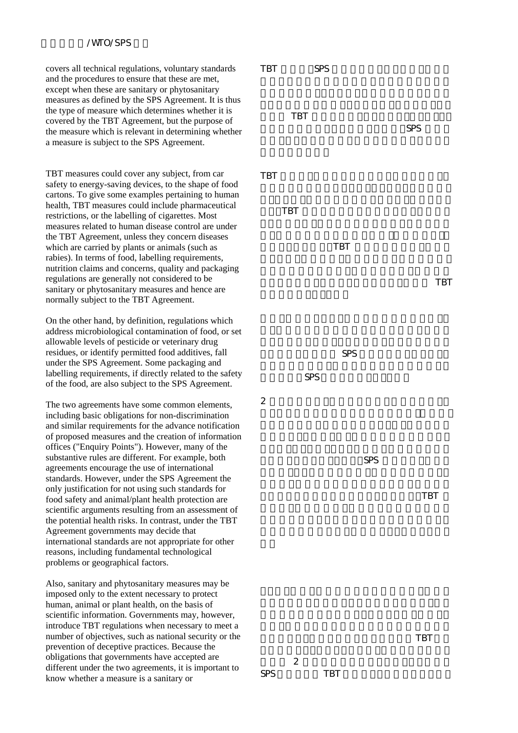covers all technical regulations, voluntary standards and the procedures to ensure that these are met, except when these are sanitary or phytosanitary measures as defined by the SPS Agreement. It is thus the type of measure which determines whether it is covered by the TBT Agreement, but the purpose of the measure which is relevant in determining whether a measure is subject to the SPS Agreement.

TBT measures could cover any subject, from car safety to energy-saving devices, to the shape of food cartons. To give some examples pertaining to human health, TBT measures could include pharmaceutical restrictions, or the labelling of cigarettes. Most measures related to human disease control are under the TBT Agreement, unless they concern diseases which are carried by plants or animals (such as rabies). In terms of food, labelling requirements, nutrition claims and concerns, quality and packaging regulations are generally not considered to be sanitary or phytosanitary measures and hence are normally subject to the TBT Agreement.

On the other hand, by definition, regulations which address microbiological contamination of food, or set allowable levels of pesticide or veterinary drug residues, or identify permitted food additives, fall under the SPS Agreement. Some packaging and labelling requirements, if directly related to the safety of the food, are also subject to the SPS Agreement.

The two agreements have some common elements, including basic obligations for non-discrimination and similar requirements for the advance notification of proposed measures and the creation of information offices ("Enquiry Points"). However, many of the substantive rules are different. For example, both agreements encourage the use of international standards. However, under the SPS Agreement the only justification for not using such standards for food safety and animal/plant health protection are scientific arguments resulting from an assessment of the potential health risks. In contrast, under the TBT Agreement governments may decide that international standards are not appropriate for other reasons, including fundamental technological problems or geographical factors.

Also, sanitary and phytosanitary measures may be imposed only to the extent necessary to protect human, animal or plant health, on the basis of scientific information. Governments may, however, introduce TBT regulations when necessary to meet a number of objectives, such as national security or the prevention of deceptive practices. Because the obligations that governments have accepted are different under the two agreements, it is important to know whether a measure is a sanitary or

措置が TBT 協定の対象となるのかどうかということ  $SPS$ 

TBT SPS and the state of the state of the state of the state of the state of the state of the state of the state of the state of the state of the state of the state of the state of the state of the state of the state of th

TBT  $\blacksquare$ 

TBT  $\blacksquare$ 

TBT **STEP STEP STEP** 

のための措置とはみなされないため、通常は TBT

を特定する規制には SPS 協定が適用されます。包

SPS and the set of the set of the set of the set of the set of the set of the set of the set of the set of the set of the set of the set of the set of the set of the set of the set of the set of the set of the set of the s

 $2 \overline{a}$ 

SPS SPS

ては、TBT<br>アメリカのエネルギーのエネルギーのエネルギーのエネルギーのエネルギーのエネルギーのエネルギーのエネルギーのエネルギーのエネルギーのエネルギーのエネルギーのエネルギーのエネルギーのエネルギーのエネルギーのエネルギーのエネル<br>アメリカルギーのエネルギーのエネルギーのエネルギーのエネルギーのエネルギーのエネルギーのエネルギーのエネルギーのエネルギーのエネルギーのエネルギーのエネルギーのエネルギーのエネルギーのエネルギーのエネルギ

の防止など、様々な目的を満たすための TBT 規制

 $\overline{2}$  2  $\overline{2}$  2  $\overline{2}$  2  $\overline{2}$  2  $\overline{2}$  2  $\overline{2}$  3  $\overline{2}$  3  $\overline{2}$  3  $\overline{2}$  3  $\overline{2}$  3  $\overline{2}$  3  $\overline{2}$  3  $\overline{2}$  3  $\overline{2}$  3  $\overline{2}$  3  $\overline{2}$  3  $\overline{2}$  3  $\overline{2}$  3  $\overline{2}$  3  $\overline{2}$  3 SPS TBT 3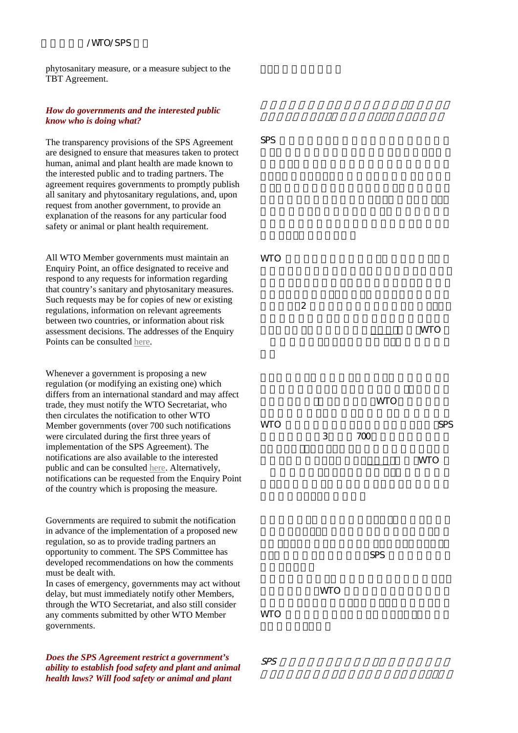phytosanitary measure, or a measure subject to the TBT Agreement.

### *How do governments and the interested public know who is doing what?*

The transparency provisions of the SPS Agreement are designed to ensure that measures taken to protect human, animal and plant health are made known to the interested public and to trading partners. The agreement requires governments to promptly publish all sanitary and phytosanitary regulations, and, upon request from another government, to provide an explanation of the reasons for any particular food safety or animal or plant health requirement.

All WTO Member governments must maintain an Enquiry Point, an office designated to receive and respond to any requests for information regarding that country's sanitary and phytosanitary measures. Such requests may be for copies of new or existing regulations, information on relevant agreements between two countries, or information about risk assessment decisions. The addresses of the Enquiry Points can be consulted [here.](https://www.wto.org/english/tratop_e/sps_e/sps_e.htm#enquiry)

Whenever a government is proposing a new regulation (or modifying an existing one) which differs from an international standard and may affect trade, they must notify the WTO Secretariat, who then circulates the notification to other WTO Member governments (over 700 such notifications were circulated during the first three years of implementation of the SPS Agreement). The notifications are also available to the interested public and can be consulted [here.](https://www.wto.org/english/tratop_e/sps_e/sps_e.htm#notifications) Alternatively, notifications can be requested from the Enquiry Point of the country which is proposing the measure.

Governments are required to submit the notification in advance of the implementation of a proposed new regulation, so as to provide trading partners an opportunity to comment. The SPS Committee has developed recommendations on how the comments must be dealt with.

In cases of emergency, governments may act without delay, but must immediately notify other Members, through the WTO Secretariat, and also still consider any comments submitted by other WTO Member governments.

*Does the SPS Agreement restrict a government's ability to establish food safety and plant and animal health laws? Will food safety or animal and plant* 

 $SPS$ 

WTO  $\blacksquare$ 

 $\overline{2}$ くちらしている しょうしょう しょうしょう しょうしょう しょうしょう しょうしょう しょうしゅう しょうしょう しょうしょう しょうしょう しょうしゅうしょう しょうしょう しょうしょく しょうしゃ しょうしゃ しょく wto which is the set of the set of the set of the set of the set of the set of the set of the set of the set of the set of the set of the set of the set of the set of the set of the set of the set of the set of the set of WTO SPS 協定の導入から3年間で700回以上の通報が配布 国民も入手することができ[、こちら\(](https://www.wto.org/english/tratop_e/sps_e/sps_e.htm#notifications)訳注:WTO の

 $SPS$ 

WTO **WTO** 

WTO 2000 NO 2000 NO 2000 NO 2000 NO 2000 NO 2000 NO 2000 NO 2000 NO 2000 NO 2000 NO 2000 NO 2000 NO 2000 NO 20<br>2000 NO 2000 NO 2000 NO 2000 NO 2000 NO 2000 NO 2000 NO 2000 NO 2000 NO 2000 NO 2000 NO 2000 NO 2000 NO 2000 N

 $S\!P\!S$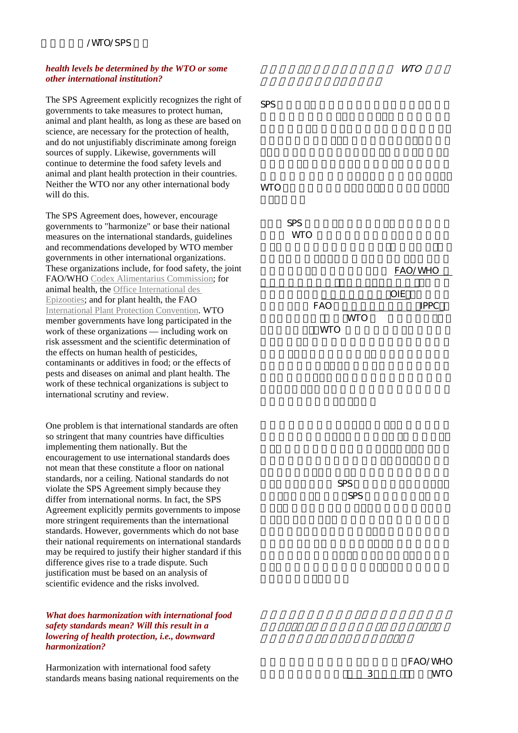### *health levels be determined by the WTO or some other international institution?*

The SPS Agreement explicitly recognizes the right of governments to take measures to protect human, animal and plant health, as long as these are based on science, are necessary for the protection of health, and do not unjustifiably discriminate among foreign sources of supply. Likewise, governments will continue to determine the food safety levels and animal and plant health protection in their countries. Neither the WTO nor any other international body will do this.

The SPS Agreement does, however, encourage governments to "harmonize" or base their national measures on the international standards, guidelines and recommendations developed by WTO member governments in other international organizations. These organizations include, for food safety, the joint FAO/WHO [Codex Alimentarius Commission;](https://www.wto.org/english/tratop_e/sps_e/sps_e.htm#codex) for animal health, the [Office International des](https://www.wto.org/english/tratop_e/sps_e/sps_e.htm#oie)  [Epizooties;](https://www.wto.org/english/tratop_e/sps_e/sps_e.htm#oie) and for plant health, the FAO [International Plant Protection Convention.](https://www.wto.org/english/tratop_e/sps_e/sps_e.htm#ippc) WTO member governments have long participated in the work of these organizations — including work on risk assessment and the scientific determination of the effects on human health of pesticides, contaminants or additives in food; or the effects of pests and diseases on animal and plant health. The work of these technical organizations is subject to international scrutiny and review.

One problem is that international standards are often so stringent that many countries have difficulties implementing them nationally. But the encouragement to use international standards does not mean that these constitute a floor on national standards, nor a ceiling. National standards do not violate the SPS Agreement simply because they differ from international norms. In fact, the SPS Agreement explicitly permits governments to impose more stringent requirements than the international standards. However, governments which do not base their national requirements on international standards may be required to justify their higher standard if this difference gives rise to a trade dispute. Such justification must be based on an analysis of scientific evidence and the risks involved.

## *What does harmonization with international food safety standards mean? Will this result in a lowering of health protection, i.e., downward harmonization?*

Harmonization with international food safety standards means basing national requirements on the

 $SPS$ 

WTO

WTO **belief to the US** 

 $SPS$ おいて WTO 加盟国政府が作成した国際的な基

FAO/WHO



 $SPS$  $SPS$ 

FAO/WHO 合同食品規格委員会([注記 3 を参照\)](https://www.wto.org/english/tratop_e/sps_e/spsund_e.htm#Fn 3)(訳注:WTO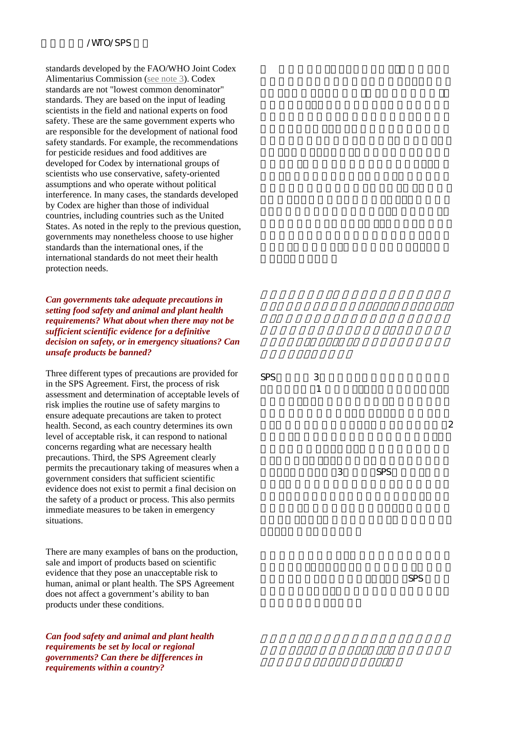standards developed by the FAO/WHO Joint Codex Alimentarius Commission [\(see note 3\)](https://www.wto.org/english/tratop_e/sps_e/spsund_e.htm#Fn 3). Codex standards are not "lowest common denominator" standards. They are based on the input of leading scientists in the field and national experts on food safety. These are the same government experts who are responsible for the development of national food safety standards. For example, the recommendations for pesticide residues and food additives are developed for Codex by international groups of scientists who use conservative, safety-oriented assumptions and who operate without political interference. In many cases, the standards developed by Codex are higher than those of individual countries, including countries such as the United States. As noted in the reply to the previous question, governments may nonetheless choose to use higher standards than the international ones, if the international standards do not meet their health protection needs.

*Can governments take adequate precautions in setting food safety and animal and plant health requirements? What about when there may not be sufficient scientific evidence for a definitive decision on safety, or in emergency situations? Can unsafe products be banned?*

Three different types of precautions are provided for in the SPS Agreement. First, the process of risk assessment and determination of acceptable levels of risk implies the routine use of safety margins to ensure adequate precautions are taken to protect health. Second, as each country determines its own level of acceptable risk, it can respond to national concerns regarding what are necessary health precautions. Third, the SPS Agreement clearly permits the precautionary taking of measures when a government considers that sufficient scientific evidence does not exist to permit a final decision on the safety of a product or process. This also permits immediate measures to be taken in emergency situations.

There are many examples of bans on the production, sale and import of products based on scientific evidence that they pose an unacceptable risk to human, animal or plant health. The SPS Agreement does not affect a government's ability to ban products under these conditions.

*Can food safety and animal and plant health requirements be set by local or regional governments? Can there be differences in requirements within a country?*

 $SPS$  3  $\frac{3}{2}$  $1$ 

 $\mathbb{Z}$ 

 $3$  SPS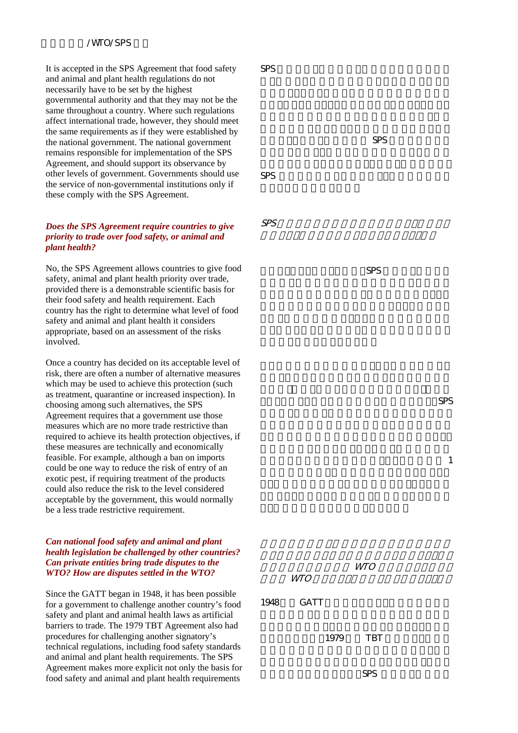It is accepted in the SPS Agreement that food safety and animal and plant health regulations do not necessarily have to be set by the highest governmental authority and that they may not be the same throughout a country. Where such regulations affect international trade, however, they should meet the same requirements as if they were established by the national government. The national government remains responsible for implementation of the SPS Agreement, and should support its observance by other levels of government. Governments should use the service of non-governmental institutions only if these comply with the SPS Agreement.

### *Does the SPS Agreement require countries to give priority to trade over food safety, or animal and plant health?*

No, the SPS Agreement allows countries to give food safety, animal and plant health priority over trade, provided there is a demonstrable scientific basis for their food safety and health requirement. Each country has the right to determine what level of food safety and animal and plant health it considers appropriate, based on an assessment of the risks involved.

Once a country has decided on its acceptable level of risk, there are often a number of alternative measures which may be used to achieve this protection (such as treatment, quarantine or increased inspection). In choosing among such alternatives, the SPS Agreement requires that a government use those measures which are no more trade restrictive than required to achieve its health protection objectives, if these measures are technically and economically feasible. For example, although a ban on imports could be one way to reduce the risk of entry of an exotic pest, if requiring treatment of the products could also reduce the risk to the level considered acceptable by the government, this would normally be a less trade restrictive requirement.

## *Can national food safety and animal and plant health legislation be challenged by other countries? Can private entities bring trade disputes to the WTO? How are disputes settled in the WTO?*

Since the GATT began in 1948, it has been possible for a government to challenge another country's food safety and plant and animal health laws as artificial barriers to trade. The 1979 TBT Agreement also had procedures for challenging another signatory's technical regulations, including food safety standards and animal and plant health requirements. The SPS Agreement makes more explicit not only the basis for food safety and animal and plant health requirements

 $SPS$ 

 $SPS$ 

SPS **SPS** 

 $S\!P\!S$ 

 $SPS$ 

 $SPS$ 

 $\mathbf 1$ 

 $W\!TO$ WTO 1948 GATT

1979 TBT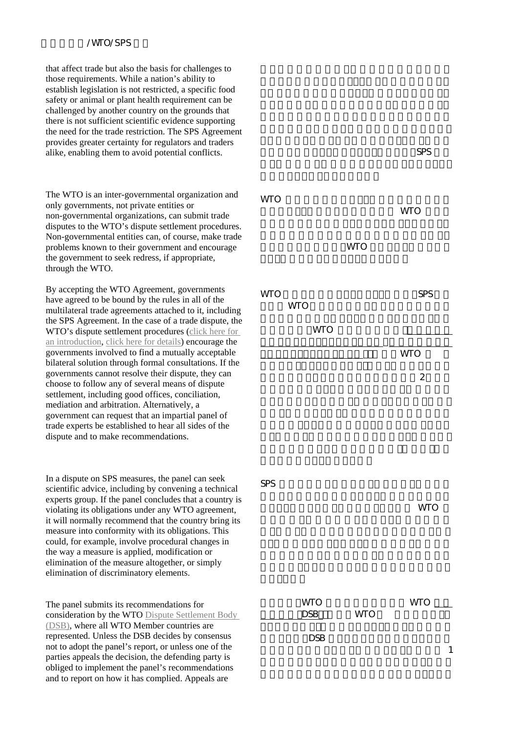that affect trade but also the basis for challenges to those requirements. While a nation's ability to establish legislation is not restricted, a specific food safety or animal or plant health requirement can be challenged by another country on the grounds that there is not sufficient scientific evidence supporting the need for the trade restriction. The SPS Agreement provides greater certainty for regulators and traders alike, enabling them to avoid potential conflicts.

The WTO is an inter-governmental organization and only governments, not private entities or non-governmental organizations, can submit trade disputes to the WTO's dispute settlement procedures. Non-governmental entities can, of course, make trade problems known to their government and encourage the government to seek redress, if appropriate, through the WTO.

By accepting the WTO Agreement, governments have agreed to be bound by the rules in all of the multilateral trade agreements attached to it, including the SPS Agreement. In the case of a trade dispute, the WTO's dispute settlement procedures [\(click here for](https://www.wto.org/english/thewto_e/whatis_e/tif_e/disp1_e.htm)  [an introduction,](https://www.wto.org/english/thewto_e/whatis_e/tif_e/disp1_e.htm) [click here for details\)](https://www.wto.org/english/tratop_e/dispu_e/dispu_e.htm) encourage the governments involved to find a mutually acceptable bilateral solution through formal consultations. If the governments cannot resolve their dispute, they can choose to follow any of several means of dispute settlement, including good offices, conciliation, mediation and arbitration. Alternatively, a government can request that an impartial panel of trade experts be established to hear all sides of the dispute and to make recommendations.

In a dispute on SPS measures, the panel can seek scientific advice, including by convening a technical experts group. If the panel concludes that a country is violating its obligations under any WTO agreement, it will normally recommend that the country bring its measure into conformity with its obligations. This could, for example, involve procedural changes in the way a measure is applied, modification or elimination of the measure altogether, or simply elimination of discriminatory elements.

The panel submits its recommendations for consideration by the WTO [Dispute Settlement Body](https://www.wto.org/english/thewto_e/whatis_e/tif_e/disp1_e.htm)  [\(DSB\),](https://www.wto.org/english/thewto_e/whatis_e/tif_e/disp1_e.htm) where all WTO Member countries are represented. Unless the DSB decides by consensus not to adopt the panel's report, or unless one of the parties appeals the decision, the defending party is obliged to implement the panel's recommendations and to report on how it has complied. Appeals are

 $W\Gamma$ O to the set of  $\Gamma$ WTO  $WTO$ 

いちのかい WTO しょうかい しょうしょう

 $\sim$  2  $\sim$  2  $\sim$ 

 $SPS$ 

WTO SPS WTO GENERAL SERVICE STATES

紛争の場合、WTO の紛争解決手続([概要につい](https://www.wto.org/english/thewto_e/whatis_e/tif_e/disp1_e.htm)

WTO WTO WTO SANDAPA WITO SANDAPA WITO SANDAPA WITO SANDAPA SANDAPA WITO SANDAPA SANDAPA SANDAPA SANDAPA SANDAPA SANDAPA SANDAPA SANDAPA SANDAPA SANDAPA SANDAPA SANDAPA SANDAPA SANDAPA SANDAPA SANDAPA SANDAPA SANDAPA SANDAP

DSB WTO

 $SPS$ 

めることができます。パネルは、ある国が WTO 協

DSB  $\Box$  $\mathbf 1$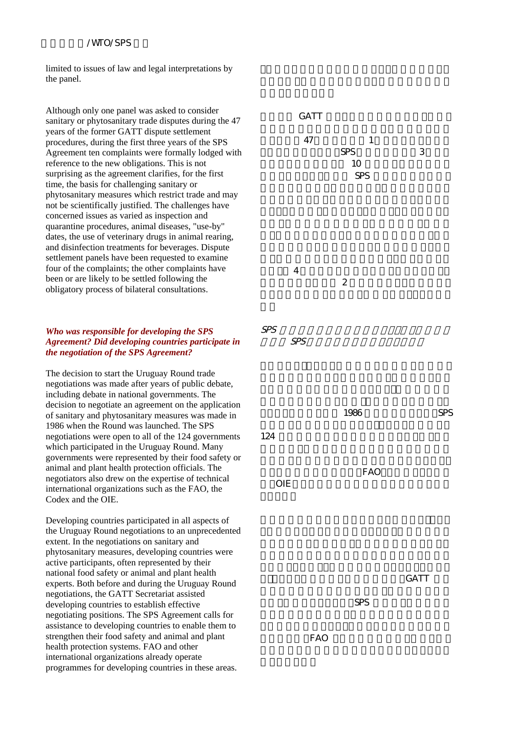limited to issues of law and legal interpretations by the panel.

Although only one panel was asked to consider sanitary or phytosanitary trade disputes during the 47 years of the former GATT dispute settlement procedures, during the first three years of the SPS Agreement ten complaints were formally lodged with reference to the new obligations. This is not surprising as the agreement clarifies, for the first time, the basis for challenging sanitary or phytosanitary measures which restrict trade and may not be scientifically justified. The challenges have concerned issues as varied as inspection and quarantine procedures, animal diseases, "use-by" dates, the use of veterinary drugs in animal rearing, and disinfection treatments for beverages. Dispute settlement panels have been requested to examine four of the complaints; the other complaints have been or are likely to be settled following the obligatory process of bilateral consultations.

## *Who was responsible for developing the SPS Agreement? Did developing countries participate in the negotiation of the SPS Agreement?*

The decision to start the Uruguay Round trade negotiations was made after years of public debate, including debate in national governments. The decision to negotiate an agreement on the application of sanitary and phytosanitary measures was made in 1986 when the Round was launched. The SPS negotiations were open to all of the 124 governments which participated in the Uruguay Round. Many governments were represented by their food safety or animal and plant health protection officials. The negotiators also drew on the expertise of technical international organizations such as the FAO, the Codex and the OIE.

Developing countries participated in all aspects of the Uruguay Round negotiations to an unprecedented extent. In the negotiations on sanitary and phytosanitary measures, developing countries were active participants, often represented by their national food safety or animal and plant health experts. Both before and during the Uruguay Round negotiations, the GATT Secretariat assisted developing countries to establish effective negotiating positions. The SPS Agreement calls for assistance to developing countries to enable them to strengthen their food safety and animal and plant health protection systems. FAO and other international organizations already operate programmes for developing countries in these areas.

**GATT** するために47年間にわずか1件のパネルしか設置  $SPS$  3  $10$  $SPS$  $4$  $\mathbf 2$  $S\!P\!S$  $SPS$ 

<u>1986 5PS</u>  $124$ 

radium states and states are stated to the state of the state of the state of the state of the state of the state of the state of the state of the state of the state of the state of the state of the state of the state of t OIE  $\overline{\phantom{a}}$ 

GATT

SPS and the set of  $S$ 

けています。FAO と他の国際機関は、既にこれら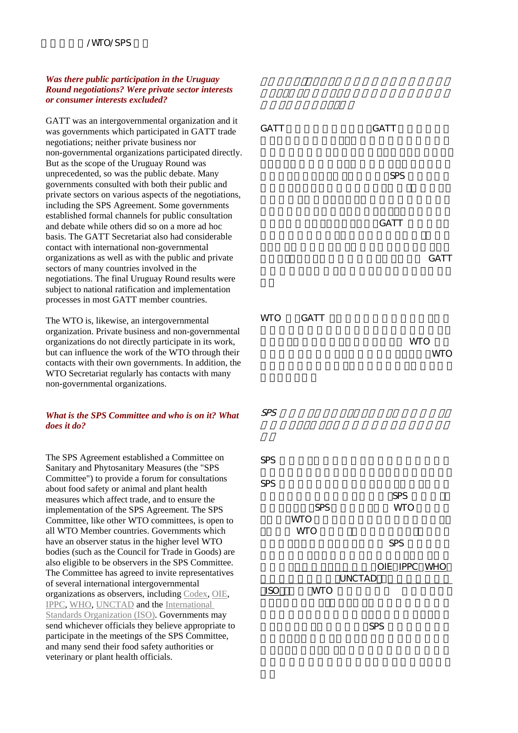## *Was there public participation in the Uruguay Round negotiations? Were private sector interests or consumer interests excluded?*

GATT was an intergovernmental organization and it was governments which participated in GATT trade negotiations; neither private business nor non-governmental organizations participated directly. But as the scope of the Uruguay Round was unprecedented, so was the public debate. Many governments consulted with both their public and private sectors on various aspects of the negotiations, including the SPS Agreement. Some governments established formal channels for public consultation and debate while others did so on a more ad hoc basis. The GATT Secretariat also had considerable contact with international non-governmental organizations as well as with the public and private sectors of many countries involved in the negotiations. The final Uruguay Round results were subject to national ratification and implementation processes in most GATT member countries.

The WTO is, likewise, an intergovernmental organization. Private business and non-governmental organizations do not directly participate in its work, but can influence the work of the WTO through their contacts with their own governments. In addition, the WTO Secretariat regularly has contacts with many non-governmental organizations.

## *What is the SPS Committee and who is on it? What does it do?*

The SPS Agreement established a Committee on Sanitary and Phytosanitary Measures (the "SPS Committee") to provide a forum for consultations about food safety or animal and plant health measures which affect trade, and to ensure the implementation of the SPS Agreement. The SPS Committee, like other WTO committees, is open to all WTO Member countries. Governments which have an observer status in the higher level WTO bodies (such as the Council for Trade in Goods) are also eligible to be observers in the SPS Committee. The Committee has agreed to invite representatives of several international intergovernmental organizations as observers, including [Codex,](https://www.wto.org/english/tratop_e/sps_e/sps_e.htm#codex) [OIE](https://www.wto.org/english/tratop_e/sps_e/sps_e.htm#oie), [IPPC,](https://www.wto.org/english/tratop_e/sps_e/sps_e.htm#ippc) [WHO](http://www.who.int/en/), [UNCTAD](https://www.unicc.org/Pages/PageNotFoundError.aspx?requestUrl=https://www.unicc.org/unctad/) and the [International](https://www.iso.org/home.html)  [Standards Organization \(ISO\).](https://www.iso.org/home.html) Governments may send whichever officials they believe appropriate to participate in the meetings of the SPS Committee, and many send their food safety authorities or veterinary or plant health officials.

GATT GATT  $SPS$ **GATT** GATT WTO GATT WTO 業に影響を及ぼすことは可能です。さらに、WTO  $S\!P\!S$  $SPS$ SPS  $\blacksquare$  $SPS$ 設置しました。SPS 委員会は、他の WTO の委員会 と同様、WTO の全ての加盟国が参加可能です。よ WTO **WTO**  $SPS$ [OIE](https://www.wto.org/english/tratop_e/sps_e/sps_e.htm#oie) IPPC WHO UNCTAD ISO WTO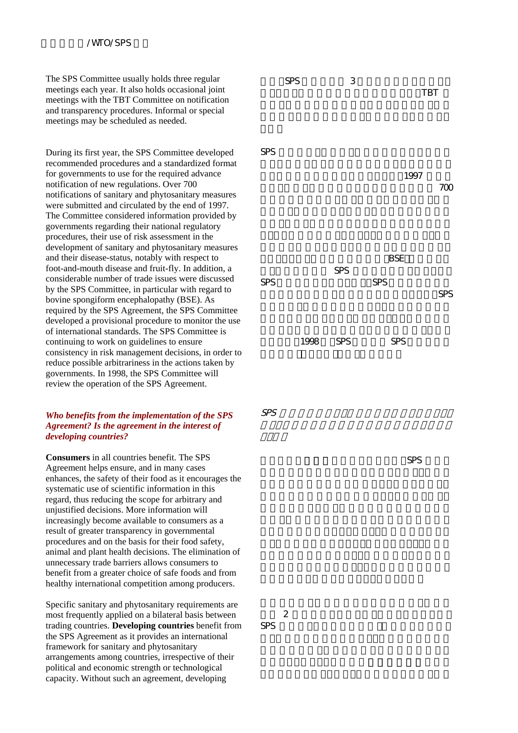The SPS Committee usually holds three regular meetings each year. It also holds occasional joint meetings with the TBT Committee on notification and transparency procedures. Informal or special meetings may be scheduled as needed.

During its first year, the SPS Committee developed recommended procedures and a standardized format for governments to use for the required advance notification of new regulations. Over 700 notifications of sanitary and phytosanitary measures were submitted and circulated by the end of 1997. The Committee considered information provided by governments regarding their national regulatory procedures, their use of risk assessment in the development of sanitary and phytosanitary measures and their disease-status, notably with respect to foot-and-mouth disease and fruit-fly. In addition, a considerable number of trade issues were discussed by the SPS Committee, in particular with regard to bovine spongiform encephalopathy (BSE). As required by the SPS Agreement, the SPS Committee developed a provisional procedure to monitor the use of international standards. The SPS Committee is continuing to work on guidelines to ensure consistency in risk management decisions, in order to reduce possible arbitrariness in the actions taken by governments. In 1998, the SPS Committee will review the operation of the SPS Agreement.

#### *Who benefits from the implementation of the SPS Agreement? Is the agreement in the interest of developing countries?*

**Consumers** in all countries benefit. The SPS Agreement helps ensure, and in many cases enhances, the safety of their food as it encourages the systematic use of scientific information in this regard, thus reducing the scope for arbitrary and unjustified decisions. More information will increasingly become available to consumers as a result of greater transparency in governmental procedures and on the basis for their food safety, animal and plant health decisions. The elimination of unnecessary trade barriers allows consumers to benefit from a greater choice of safe foods and from healthy international competition among producers.

Specific sanitary and phytosanitary requirements are most frequently applied on a bilateral basis between trading countries. **Developing countries** benefit from the SPS Agreement as it provides an international framework for sanitary and phytosanitary arrangements among countries, irrespective of their political and economic strength or technological capacity. Without such an agreement, developing

 $SPS$  3  $TBT$  $SPS$  $1997$  $700$  $\overline{\text{BSE}}$ SPS **SPS** SPS SPS SPS SPS SPS  $\sim$  $SPS$  $1998$  SPS SPS SPS

 $2$  $SPS$ 

 $S\!P\!S$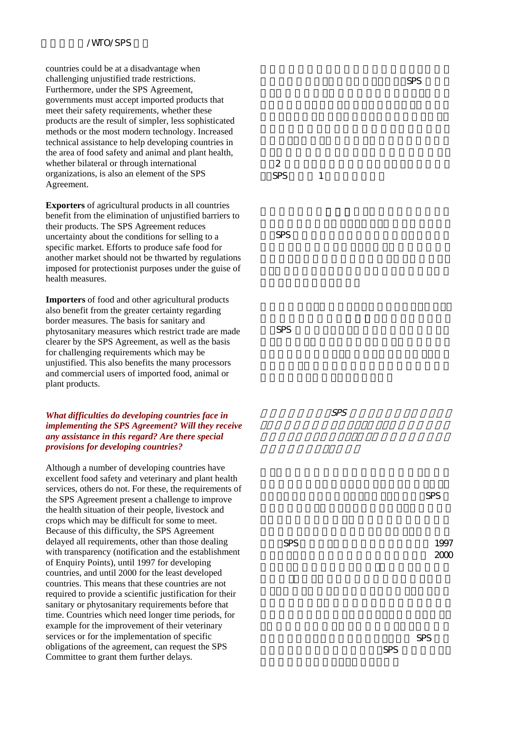countries could be at a disadvantage when challenging unjustified trade restrictions. Furthermore, under the SPS Agreement, governments must accept imported products that meet their safety requirements, whether these products are the result of simpler, less sophisticated methods or the most modern technology. Increased technical assistance to help developing countries in the area of food safety and animal and plant health, whether bilateral or through international organizations, is also an element of the SPS Agreement.

**Exporters** of agricultural products in all countries benefit from the elimination of unjustified barriers to their products. The SPS Agreement reduces uncertainty about the conditions for selling to a specific market. Efforts to produce safe food for another market should not be thwarted by regulations imposed for protectionist purposes under the guise of health measures.

**Importers** of food and other agricultural products also benefit from the greater certainty regarding border measures. The basis for sanitary and phytosanitary measures which restrict trade are made clearer by the SPS Agreement, as well as the basis for challenging requirements which may be unjustified. This also benefits the many processors and commercial users of imported food, animal or plant products.

### *What difficulties do developing countries face in implementing the SPS Agreement? Will they receive any assistance in this regard? Are there special provisions for developing countries?*

Although a number of developing countries have excellent food safety and veterinary and plant health services, others do not. For these, the requirements of the SPS Agreement present a challenge to improve the health situation of their people, livestock and crops which may be difficult for some to meet. Because of this difficulty, the SPS Agreement delayed all requirements, other than those dealing with transparency (notification and the establishment of Enquiry Points), until 1997 for developing countries, and until 2000 for the least developed countries. This means that these countries are not required to provide a scientific justification for their sanitary or phytosanitary requirements before that time. Countries which need longer time periods, for example for the improvement of their veterinary services or for the implementation of specific obligations of the agreement, can request the SPS Committee to grant them further delays.

 $\overline{\mathbf{2}}$  $SPS$  1

す。SPS 協定は特定の市場に販売するための条件

 $SPS$ 

す。SPS 協定によって、不当な措置を提訴する根

 $SPS$ 

 $SPS$  and  $1997$  $2000$ 

 $SPS$